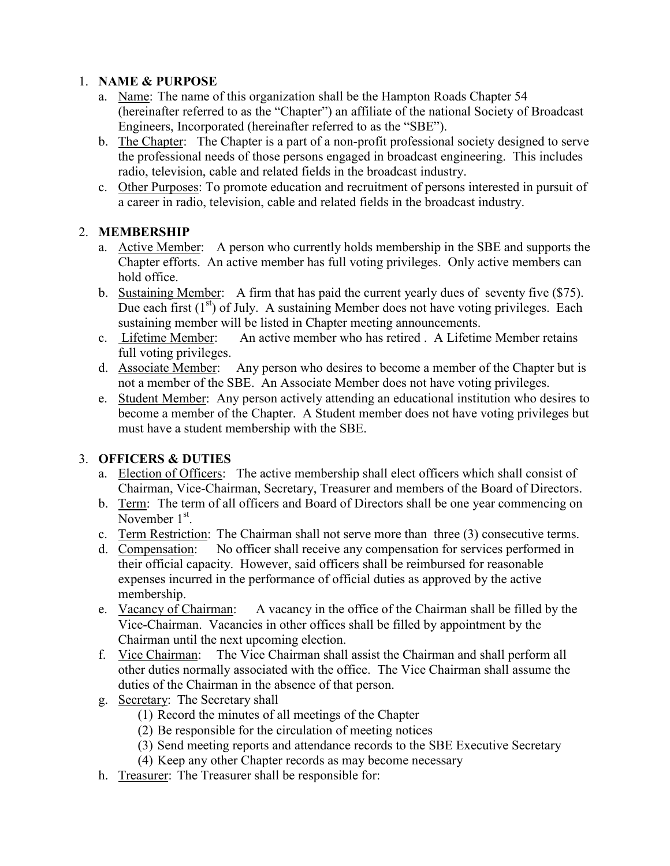### 1. NAME & PURPOSE

- a. Name: The name of this organization shall be the Hampton Roads Chapter 54 (hereinafter referred to as the "Chapter") an affiliate of the national Society of Broadcast Engineers, Incorporated (hereinafter referred to as the "SBE").
- b. The Chapter: The Chapter is a part of a non-profit professional society designed to serve the professional needs of those persons engaged in broadcast engineering. This includes radio, television, cable and related fields in the broadcast industry.
- c. Other Purposes: To promote education and recruitment of persons interested in pursuit of a career in radio, television, cable and related fields in the broadcast industry.

## 2. MEMBERSHIP

- a. Active Member: A person who currently holds membership in the SBE and supports the Chapter efforts. An active member has full voting privileges. Only active members can hold office.
- b. Sustaining Member: A firm that has paid the current yearly dues of seventy five (\$75). Due each first  $(1<sup>st</sup>)$  of July. A sustaining Member does not have voting privileges. Each sustaining member will be listed in Chapter meeting announcements.
- c. Lifetime Member: An active member who has retired . A Lifetime Member retains full voting privileges.
- d. Associate Member: Any person who desires to become a member of the Chapter but is not a member of the SBE. An Associate Member does not have voting privileges.
- e. Student Member: Any person actively attending an educational institution who desires to become a member of the Chapter. A Student member does not have voting privileges but must have a student membership with the SBE.

#### 3. OFFICERS & DUTIES

- a. Election of Officers: The active membership shall elect officers which shall consist of Chairman, Vice-Chairman, Secretary, Treasurer and members of the Board of Directors.
- b. Term: The term of all officers and Board of Directors shall be one year commencing on November 1<sup>st</sup>.
- c. Term Restriction: The Chairman shall not serve more than three (3) consecutive terms.
- d. Compensation: No officer shall receive any compensation for services performed in their official capacity. However, said officers shall be reimbursed for reasonable expenses incurred in the performance of official duties as approved by the active membership.
- e. Vacancy of Chairman: A vacancy in the office of the Chairman shall be filled by the Vice-Chairman. Vacancies in other offices shall be filled by appointment by the Chairman until the next upcoming election.
- f. Vice Chairman: The Vice Chairman shall assist the Chairman and shall perform all other duties normally associated with the office. The Vice Chairman shall assume the duties of the Chairman in the absence of that person.
- g. Secretary: The Secretary shall
	- (1) Record the minutes of all meetings of the Chapter
	- (2) Be responsible for the circulation of meeting notices
	- (3) Send meeting reports and attendance records to the SBE Executive Secretary
	- (4) Keep any other Chapter records as may become necessary
- h. Treasurer: The Treasurer shall be responsible for: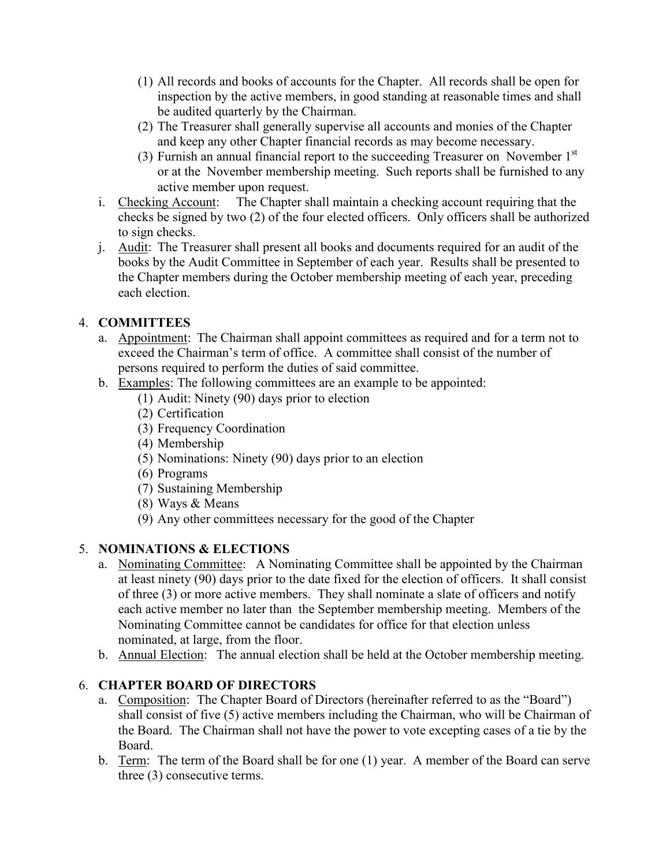- (1) All records and books of accounts for the Chapter. All records shall be open for inspection by the active members, in good standing at reasonable times and shall be audited quarterly by the Chairman.
- (2) The Treasurer shall generally supervise all accounts and monies of the Chapter and keep any other Chapter financial records as may become necessary.
- (3) Furnish an annual financial report to the succeeding Treasurer on November  $1<sup>st</sup>$ or at the November membership meeting. Such reports shall be furnished to any active member upon request.
- i. Checking Account: The Chapter shall maintain a checking account requiring that the checks be signed by two (2) of the four elected officers. Only officers shall be authorized to sign checks.
- j. Audit: The Treasurer shall present all books and documents required for an audit of the books by the Audit Committee in September of each year. Results shall be presented to the Chapter members during the October membership meeting of each year, preceding each election.

## 4. COMMITTEES

- a. Appointment: The Chairman shall appoint committees as required and for a term not to exceed the Chairman's term of office. A committee shall consist of the number of persons required to perform the duties of said committee.
- b. Examples: The following committees are an example to be appointed:
	- (1) Audit: Ninety (90) days prior to election
	- (2) Certification
	- (3) Frequency Coordination
	- (4) Membership
	- (5) Nominations: Ninety (90) days prior to an election
	- (6) Programs
	- (7) Sustaining Membership
	- (8) Ways & Means
	- (9) Any other committees necessary for the good of the Chapter

# 5. NOMINATIONS & ELECTIONS

- a. Nominating Committee: A Nominating Committee shall be appointed by the Chairman at least ninety (90) days prior to the date fixed for the election of officers. It shall consist of three (3) or more active members. They shall nominate a slate of officers and notify each active member no later than the September membership meeting. Members of the Nominating Committee cannot be candidates for office for that election unless nominated, at large, from the floor.
- b. Annual Election: The annual election shall be held at the October membership meeting.

# 6. CHAPTER BOARD OF DIRECTORS

- a. Composition: The Chapter Board of Directors (hereinafter referred to as the "Board") shall consist of five (5) active members including the Chairman, who will be Chairman of the Board. The Chairman shall not have the power to vote excepting cases of a tie by the Board.
- b. Term: The term of the Board shall be for one (1) year. A member of the Board can serve three (3) consecutive terms.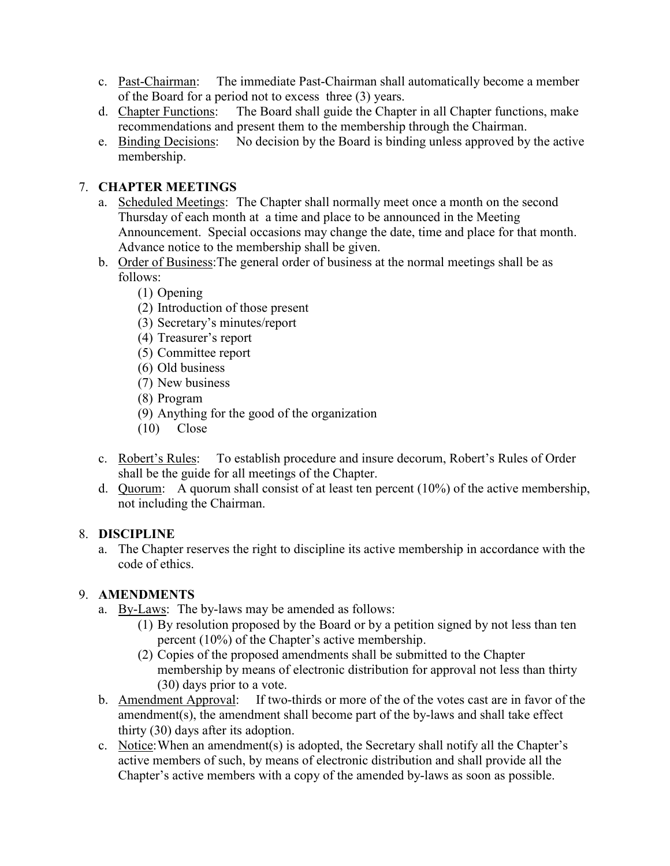- c. Past-Chairman: The immediate Past-Chairman shall automatically become a member of the Board for a period not to excess three (3) years.
- d. Chapter Functions: The Board shall guide the Chapter in all Chapter functions, make recommendations and present them to the membership through the Chairman.
- e. Binding Decisions: No decision by the Board is binding unless approved by the active membership.

### 7. CHAPTER MEETINGS

- a. Scheduled Meetings: The Chapter shall normally meet once a month on the second Thursday of each month at a time and place to be announced in the Meeting Announcement. Special occasions may change the date, time and place for that month. Advance notice to the membership shall be given.
- b. Order of Business:The general order of business at the normal meetings shall be as follows:
	- (1) Opening
	- (2) Introduction of those present
	- (3) Secretary's minutes/report
	- (4) Treasurer's report
	- (5) Committee report
	- (6) Old business
	- (7) New business
	- (8) Program
	- (9) Anything for the good of the organization
	- (10) Close
- c. Robert's Rules: To establish procedure and insure decorum, Robert's Rules of Order shall be the guide for all meetings of the Chapter.
- d. Quorum: A quorum shall consist of at least ten percent  $(10\%)$  of the active membership, not including the Chairman.

#### 8. DISCIPLINE

a. The Chapter reserves the right to discipline its active membership in accordance with the code of ethics.

## 9. AMENDMENTS

- a. By-Laws: The by-laws may be amended as follows:
	- (1) By resolution proposed by the Board or by a petition signed by not less than ten percent (10%) of the Chapter's active membership.
	- (2) Copies of the proposed amendments shall be submitted to the Chapter membership by means of electronic distribution for approval not less than thirty (30) days prior to a vote.
- b. Amendment Approval: If two-thirds or more of the of the votes cast are in favor of the amendment(s), the amendment shall become part of the by-laws and shall take effect thirty (30) days after its adoption.
- c. Notice: When an amendment(s) is adopted, the Secretary shall notify all the Chapter's active members of such, by means of electronic distribution and shall provide all the Chapter's active members with a copy of the amended by-laws as soon as possible.